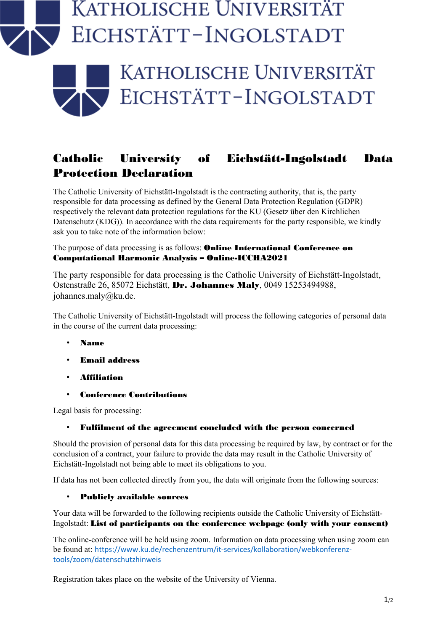## ATHOLISCHE UNIVERSITÄT EICHSTÄTT-INGOLSTADT



## Catholic University of Eichstätt-Ingolstadt Data Protection Declaration

The Catholic University of Eichstätt-Ingolstadt is the contracting authority, that is, the party responsible for data processing as defined by the General Data Protection Regulation (GDPR) respectively the relevant data protection regulations for the KU (Gesetz über den Kirchlichen Datenschutz (KDG)). In accordance with the data requirements for the party responsible, we kindly ask you to take note of the information below:

The purpose of data processing is as follows: **Online International Conference on** Computational Harmonic Analysis – Online-ICCHA2021

The party responsible for data processing is the Catholic University of Eichstätt-Ingolstadt, Ostenstraße 26, 85072 Eichstätt, Dr. Johannes Maly, 0049 15253494988, johannes.maly@ku.de.

The Catholic University of Eichstätt-Ingolstadt will process the following categories of personal data in the course of the current data processing:

- Name
- Email address
- Affiliation
- Conference Contributions

Legal basis for processing:

## • Fulfilment of the agreement concluded with the person concerned

Should the provision of personal data for this data processing be required by law, by contract or for the conclusion of a contract, your failure to provide the data may result in the Catholic University of Eichstätt-Ingolstadt not being able to meet its obligations to you.

If data has not been collected directly from you, the data will originate from the following sources:

## • Publicly available sources

Your data will be forwarded to the following recipients outside the Catholic University of Eichstätt-Ingolstadt: List of participants on the conference webpage (only with your consent)

The online-conference will be held using zoom. Information on data processing when using zoom can be found at: [https://www.ku.de/rechenzentrum/it-services/kollaboration/webkonferenz](https://www.ku.de/rechenzentrum/it-services/kollaboration/webkonferenz-tools/zoom/datenschutzhinweis)[tools/zoom/datenschutzhinweis](https://www.ku.de/rechenzentrum/it-services/kollaboration/webkonferenz-tools/zoom/datenschutzhinweis)

Registration takes place on the website of the University of Vienna.